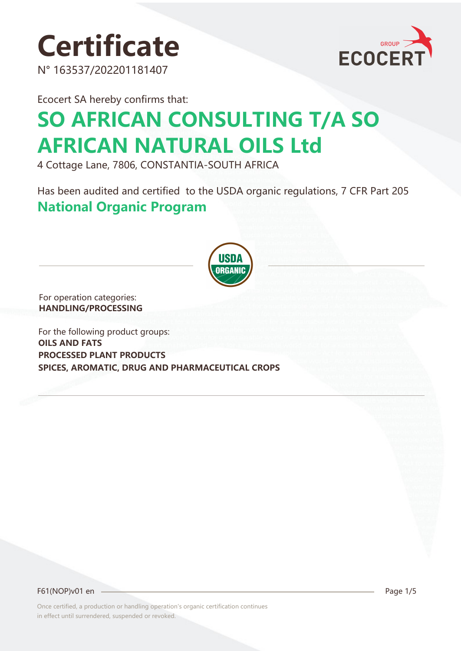





Ecocert SA hereby confirms that:

# **SO AFRICAN CONSULTING T/A SO AFRICAN NATURAL OILS Ltd**

4 Cottage Lane, 7806, CONSTANTIA-SOUTH AFRICA

Has been audited and certified to the USDA organic regulations, 7 CFR Part 205 **National Organic Program** 



For operation categories: **HANDLING/PROCESSING**

For the following product groups: **OILS AND FATS PROCESSED PLANT PRODUCTS SPICES, AROMATIC, DRUG AND PHARMACEUTICAL CROPS**

F61(NOP)v01 en Page 1/5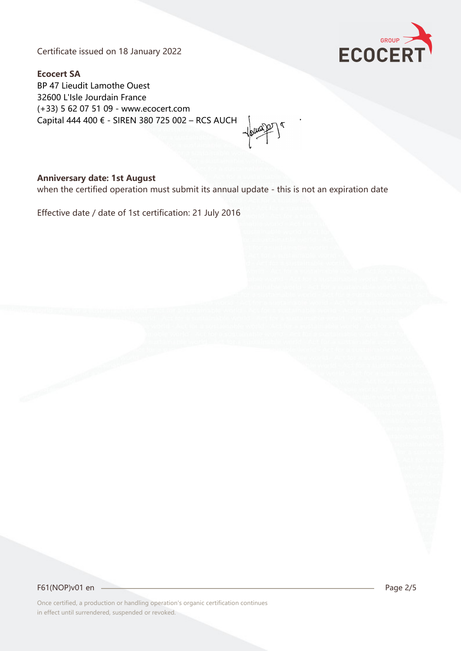Certificate issued on 18 January 2022



**Ecocert SA** BP 47 Lieudit Lamothe Ouest 32600 L'Isle Jourdain France (+33) 5 62 07 51 09 - www.ecocert.com Capital 444 400 € - SIREN 380 725 002 – RCS AUCH

#### **Anniversary date: 1st August**

when the certified operation must submit its annual update - this is not an expiration date

Effective date / date of 1st certification: 21 July 2016

F61(NOP)v01 en 2/5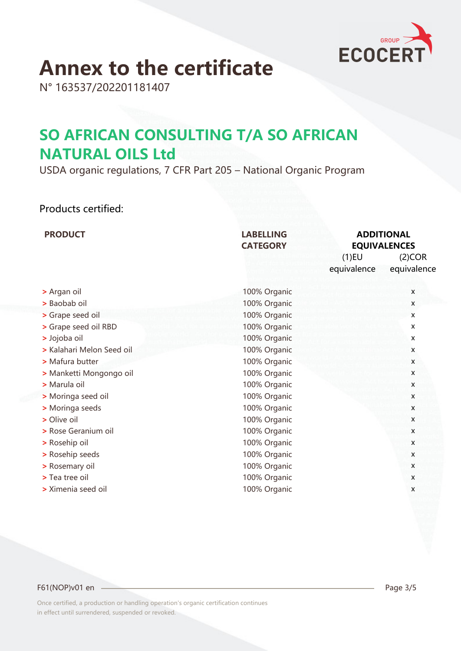

# **Annex to the certificate**

N° 163537/202201181407

### **SO AFRICAN CONSULTING T/A SO AFRICAN NATURAL OILS Ltd**

USDA organic regulations, 7 CFR Part 205 – National Organic Program

### Products certified:

| <b>PRODUCT</b>            | <b>LABELLING</b><br><b>CATEGORY</b> | <b>ADDITIONAL</b><br><b>EQUIVALENCES</b>         |
|---------------------------|-------------------------------------|--------------------------------------------------|
|                           |                                     | $(1)$ EU<br>(2)COR<br>equivalence<br>equivalence |
| > Argan oil               | 100% Organic                        | X                                                |
| > Baobab oil              | 100% Organic                        | X                                                |
| > Grape seed oil          | 100% Organic                        | X                                                |
| > Grape seed oil RBD      | 100% Organic                        | X                                                |
| > Jojoba oil              | 100% Organic                        | X                                                |
| > Kalahari Melon Seed oil | 100% Organic                        | X                                                |
| > Mafura butter           | 100% Organic                        | X                                                |
| > Manketti Mongongo oil   | 100% Organic                        | $\pmb{\mathsf{X}}$                               |
| > Marula oil              | 100% Organic                        | X                                                |
| > Moringa seed oil        | 100% Organic                        | $\mathsf{x}$                                     |
| > Moringa seeds           | 100% Organic                        | X                                                |
| > Olive oil               | 100% Organic                        | X                                                |
| > Rose Geranium oil       | 100% Organic                        | $\mathsf{x}$                                     |
| > Rosehip oil             | 100% Organic                        | X                                                |
| > Rosehip seeds           | 100% Organic                        | X                                                |
| > Rosemary oil            | 100% Organic                        | X                                                |
| > Tea tree oil            | 100% Organic                        | X                                                |
| > Ximenia seed oil        | 100% Organic                        | X                                                |
|                           |                                     |                                                  |

#### F61(NOP)v01 en 2/5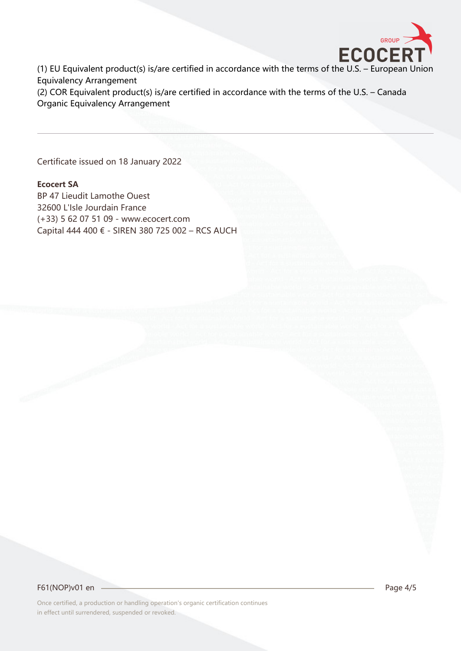

(1) EU Equivalent product(s) is/are certified in accordance with the terms of the U.S. – European Union Equivalency Arrangement

(2) COR Equivalent product(s) is/are certified in accordance with the terms of the U.S. – Canada Organic Equivalency Arrangement

Certificate issued on 18 January 2022

#### **Ecocert SA**

BP 47 Lieudit Lamothe Ouest 32600 L'Isle Jourdain France (+33) 5 62 07 51 09 - www.ecocert.com Capital 444 400 € - SIREN 380 725 002 – RCS AUCH

F61(NOP)v01 en 2010 - 2020 Page 4/5